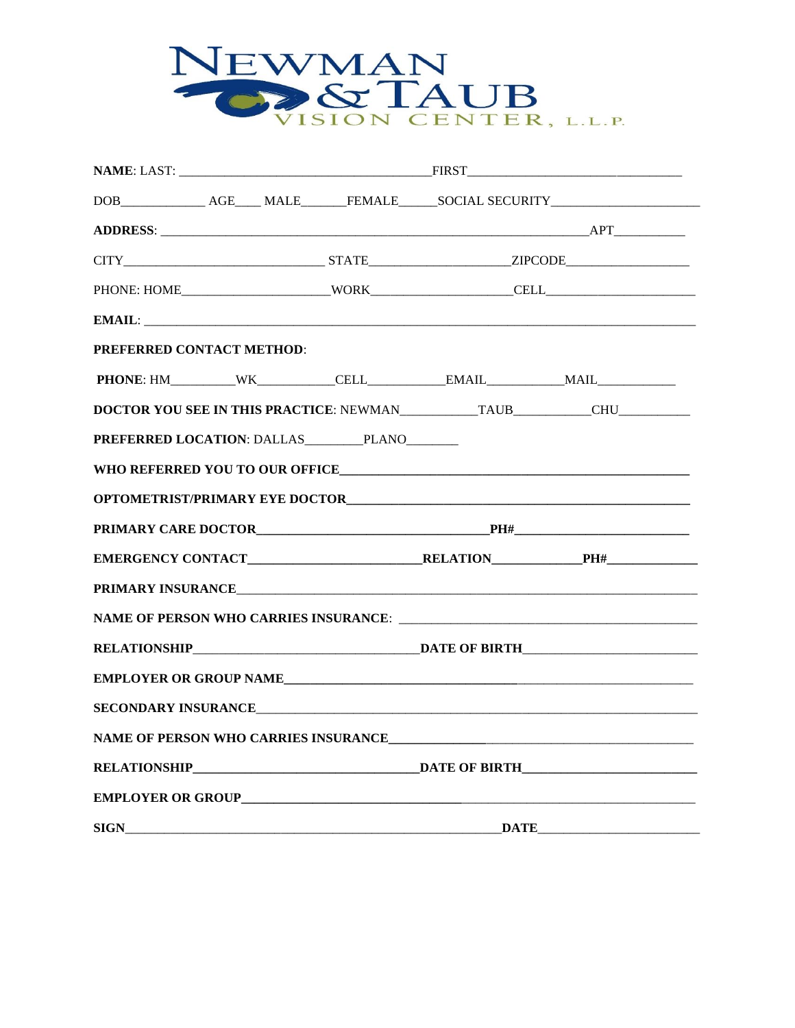

|                                  |  |             | DOB______________________AGE_______MALE__________FEMALE________SOCIAL SECURITY______________________ |
|----------------------------------|--|-------------|------------------------------------------------------------------------------------------------------|
|                                  |  |             |                                                                                                      |
|                                  |  |             |                                                                                                      |
|                                  |  |             |                                                                                                      |
|                                  |  |             |                                                                                                      |
| <b>PREFERRED CONTACT METHOD:</b> |  |             |                                                                                                      |
|                                  |  |             |                                                                                                      |
|                                  |  |             | DOCTOR YOU SEE IN THIS PRACTICE: NEWMAN__________TAUB_________CHU________________                    |
|                                  |  |             |                                                                                                      |
|                                  |  |             |                                                                                                      |
|                                  |  |             |                                                                                                      |
|                                  |  |             |                                                                                                      |
|                                  |  |             |                                                                                                      |
|                                  |  |             |                                                                                                      |
|                                  |  |             |                                                                                                      |
|                                  |  |             |                                                                                                      |
|                                  |  |             |                                                                                                      |
|                                  |  |             |                                                                                                      |
|                                  |  |             |                                                                                                      |
|                                  |  |             |                                                                                                      |
|                                  |  |             |                                                                                                      |
| <b>SIGN</b>                      |  | <b>DATE</b> |                                                                                                      |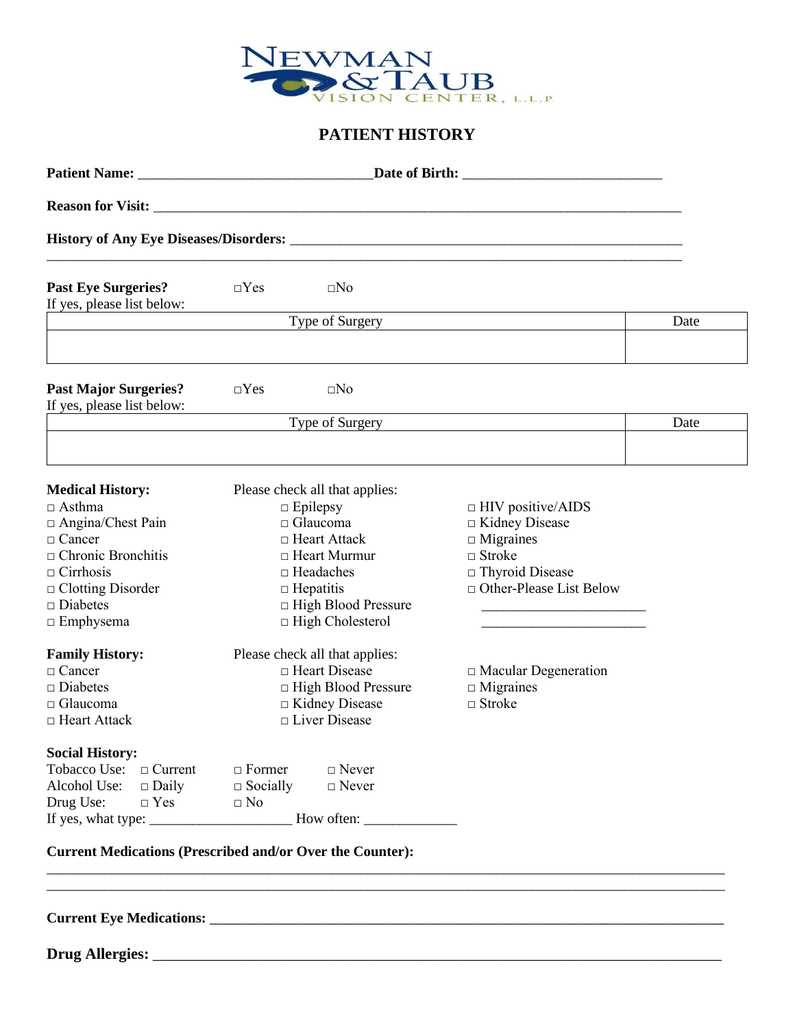

## **PATIENT HISTORY**

| <b>Past Eye Surgeries?</b><br>If yes, please list below:                                                                                                                                                                                                                                                        | $\neg Yes$                                    | $\square$ No                                                                                                                                                                                                                                                                                                                                  |                                                                                                                                                                                                              |      |  |
|-----------------------------------------------------------------------------------------------------------------------------------------------------------------------------------------------------------------------------------------------------------------------------------------------------------------|-----------------------------------------------|-----------------------------------------------------------------------------------------------------------------------------------------------------------------------------------------------------------------------------------------------------------------------------------------------------------------------------------------------|--------------------------------------------------------------------------------------------------------------------------------------------------------------------------------------------------------------|------|--|
|                                                                                                                                                                                                                                                                                                                 |                                               | Type of Surgery                                                                                                                                                                                                                                                                                                                               |                                                                                                                                                                                                              | Date |  |
| <b>Past Major Surgeries?</b><br>If yes, please list below:                                                                                                                                                                                                                                                      | $\Box$ Yes                                    | $\square$ No                                                                                                                                                                                                                                                                                                                                  |                                                                                                                                                                                                              |      |  |
|                                                                                                                                                                                                                                                                                                                 |                                               | Type of Surgery                                                                                                                                                                                                                                                                                                                               |                                                                                                                                                                                                              | Date |  |
| <b>Medical History:</b><br>$\Box$ Asthma<br>$\Box$ Angina/Chest Pain<br>$\Box$ Cancer<br>$\Box$ Chronic Bronchitis<br>$\Box$ Cirrhosis<br>$\Box$ Clotting Disorder<br>$\Box$ Diabetes<br>$\Box$ Emphysema<br><b>Family History:</b><br>$\Box$ Cancer<br>$\square$ Diabetes<br>$\Box$ Glaucoma<br>□ Heart Attack |                                               | Please check all that applies:<br>$\Box$ Epilepsy<br>$\Box$ Glaucoma<br>$\Box$ Heart Attack<br>$\Box$ Heart Murmur<br>$\Box$ Headaches<br>$\Box$ Hepatitis<br>□ High Blood Pressure<br>$\Box$ High Cholesterol<br>Please check all that applies:<br>□ Heart Disease<br>$\Box$ High Blood Pressure<br>$\Box$ Kidney Disease<br>□ Liver Disease | $\Box$ HIV positive/AIDS<br>□ Kidney Disease<br>$\Box$ Migraines<br>$\Box$ Stroke<br>□ Thyroid Disease<br>$\Box$ Other-Please List Below<br>$\Box$ Macular Degeneration<br>$\Box$ Migraines<br>$\Box$ Stroke |      |  |
| <b>Social History:</b><br>Tobacco Use: □ Current<br>Alcohol Use: $\square$ Daily<br>Drug Use: $\square$ Yes<br><b>Current Medications (Prescribed and/or Over the Counter):</b>                                                                                                                                 | $\Box$ Former<br>$\Box$ Socially<br>$\Box$ No | $\Box$ Never<br>$\Box$ Never                                                                                                                                                                                                                                                                                                                  |                                                                                                                                                                                                              |      |  |

**Drug Allergies:** \_\_\_\_\_\_\_\_\_\_\_\_\_\_\_\_\_\_\_\_\_\_\_\_\_\_\_\_\_\_\_\_\_\_\_\_\_\_\_\_\_\_\_\_\_\_\_\_\_\_\_\_\_\_\_\_\_\_\_\_\_\_\_\_\_\_\_\_\_\_\_\_\_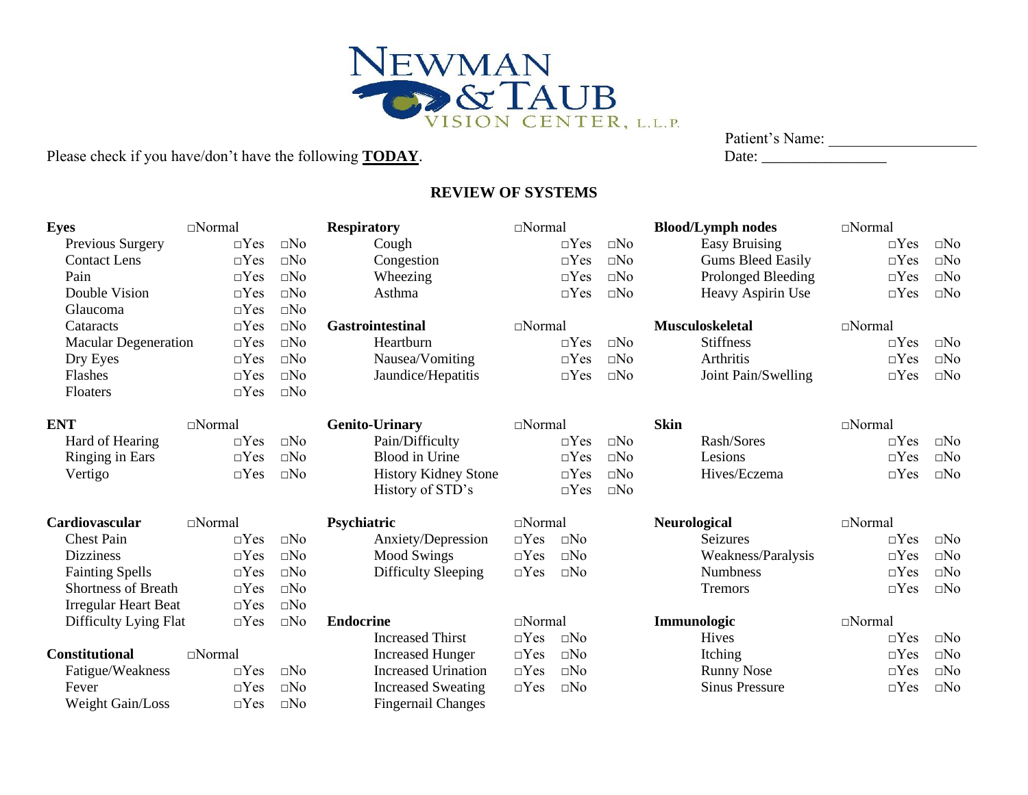

# Please check if you have/don't have the following **TODAY**.

| Patient's Name: |  |
|-----------------|--|
| T)ate∙          |  |

#### **REVIEW OF SYSTEMS**

| <b>Eyes</b>                 | $\Box$ Normal |              | <b>Respiratory</b>          | $\Box$ Normal |              |              | <b>Blood/Lymph nodes</b> | $\square$ Normal |              |
|-----------------------------|---------------|--------------|-----------------------------|---------------|--------------|--------------|--------------------------|------------------|--------------|
| Previous Surgery            | $\neg Yes$    | $\square$ No | Cough                       |               | $\Box$ Yes   | $\square$ No | <b>Easy Bruising</b>     | $\Box$ Yes       | $\square$ No |
| <b>Contact Lens</b>         | $\neg Yes$    | $\square$ No | Congestion                  |               | $\neg Yes$   | $\square$ No | <b>Gums Bleed Easily</b> | $\Box$ Yes       | $\square$ No |
| Pain                        | $\neg Yes$    | $\square$ No | Wheezing                    |               | $\Box$ Yes   | $\square$ No | Prolonged Bleeding       | $\Box$ Yes       | $\square$ No |
| Double Vision               | $\neg Yes$    | $\square$ No | Asthma                      |               | $\Box$ Yes   | $\square$ No | Heavy Aspirin Use        | $\Box$ Yes       | $\square$ No |
| Glaucoma                    | $\Box$ Yes    | $\square$ No |                             |               |              |              |                          |                  |              |
| Cataracts                   | $\Box$ Yes    | $\square$ No | <b>Gastrointestinal</b>     | $\Box$ Normal |              |              | <b>Musculoskeletal</b>   | $\Box$ Normal    |              |
| <b>Macular Degeneration</b> | $\neg Yes$    | $\square$ No | Heartburn                   |               | $\Box$ Yes   | $\square$ No | <b>Stiffness</b>         | $\Box$ Yes       | $\square$ No |
| Dry Eyes                    | $\Box$ Yes    | $\square$ No | Nausea/Vomiting             |               | $\neg Yes$   | $\square$ No | Arthritis                | $\Box$ Yes       | $\square$ No |
| Flashes                     | $\neg Yes$    | $\square$ No | Jaundice/Hepatitis          |               | $\Box$ Yes   | $\square$ No | Joint Pain/Swelling      | $\Box$ Yes       | $\square$ No |
| Floaters                    | $\neg Yes$    | $\square$ No |                             |               |              |              |                          |                  |              |
| <b>ENT</b>                  | $\Box$ Normal |              | <b>Genito-Urinary</b>       | $\Box$ Normal |              |              | <b>Skin</b>              | $\Box$ Normal    |              |
| Hard of Hearing             | $\Box$ Yes    | $\square$ No | Pain/Difficulty             |               | $\Box$ Yes   | $\square$ No | Rash/Sores               | $\Box$ Yes       | $\square$ No |
| Ringing in Ears             | $\neg Yes$    | $\square$ No | <b>Blood</b> in Urine       |               | $\neg Yes$   | $\square$ No | Lesions                  | $\Box Yes$       | $\square$ No |
| Vertigo                     | $\Box$ Yes    | $\square$ No | <b>History Kidney Stone</b> |               | $\Box$ Yes   | $\square$ No | Hives/Eczema             | $\Box$ Yes       | $\square$ No |
|                             |               |              | History of STD's            |               | $\Box Yes$   | $\square$ No |                          |                  |              |
| Cardiovascular              | $\Box$ Normal |              | Psychiatric                 | $\Box$ Normal |              |              | <b>Neurological</b>      | $\Box$ Normal    |              |
| <b>Chest Pain</b>           | $\Box$ Yes    | $\square$ No | Anxiety/Depression          | $\Box$ Yes    | $\square$ No |              | Seizures                 | $\Box$ Yes       | $\square$ No |
| <b>Dizziness</b>            | $\neg Yes$    | $\square$ No | <b>Mood Swings</b>          | $\Box$ Yes    | $\square$ No |              | Weakness/Paralysis       | $\Box$ Yes       | $\square$ No |
| <b>Fainting Spells</b>      | $\neg Yes$    | $\square$ No | Difficulty Sleeping         | $\Box$ Yes    | $\square$ No |              | <b>Numbness</b>          | $\Box$ Yes       | $\square$ No |
| <b>Shortness of Breath</b>  | $\Box$ Yes    | $\square$ No |                             |               |              |              | <b>Tremors</b>           | $\Box$ Yes       | $\square$ No |
| <b>Irregular Heart Beat</b> | $\neg Yes$    | $\square$ No |                             |               |              |              |                          |                  |              |
| Difficulty Lying Flat       | $\Box$ Yes    | $\square$ No | <b>Endocrine</b>            | $\Box$ Normal |              |              | Immunologic              | $\Box$ Normal    |              |
|                             |               |              | <b>Increased Thirst</b>     | $\Box$ Yes    | $\square$ No |              | Hives                    | $\Box$ Yes       | $\square$ No |
| <b>Constitutional</b>       | $\Box$ Normal |              | <b>Increased Hunger</b>     | $\Box$ Yes    | $\square$ No |              | Itching                  | $\Box$ Yes       | $\square$ No |
| Fatigue/Weakness            | $\Box$ Yes    | $\square$ No | <b>Increased Urination</b>  | $\Box$ Yes    | $\square$ No |              | <b>Runny Nose</b>        | $\Box$ Yes       | $\square$ No |
| Fever                       | $\Box$ Yes    | $\square$ No | <b>Increased Sweating</b>   | $\Box$ Yes    | $\square$ No |              | <b>Sinus Pressure</b>    | $\square Yes$    | $\square$ No |
| <b>Weight Gain/Loss</b>     | $\Box$ Yes    | $\square$ No | <b>Fingernail Changes</b>   |               |              |              |                          |                  |              |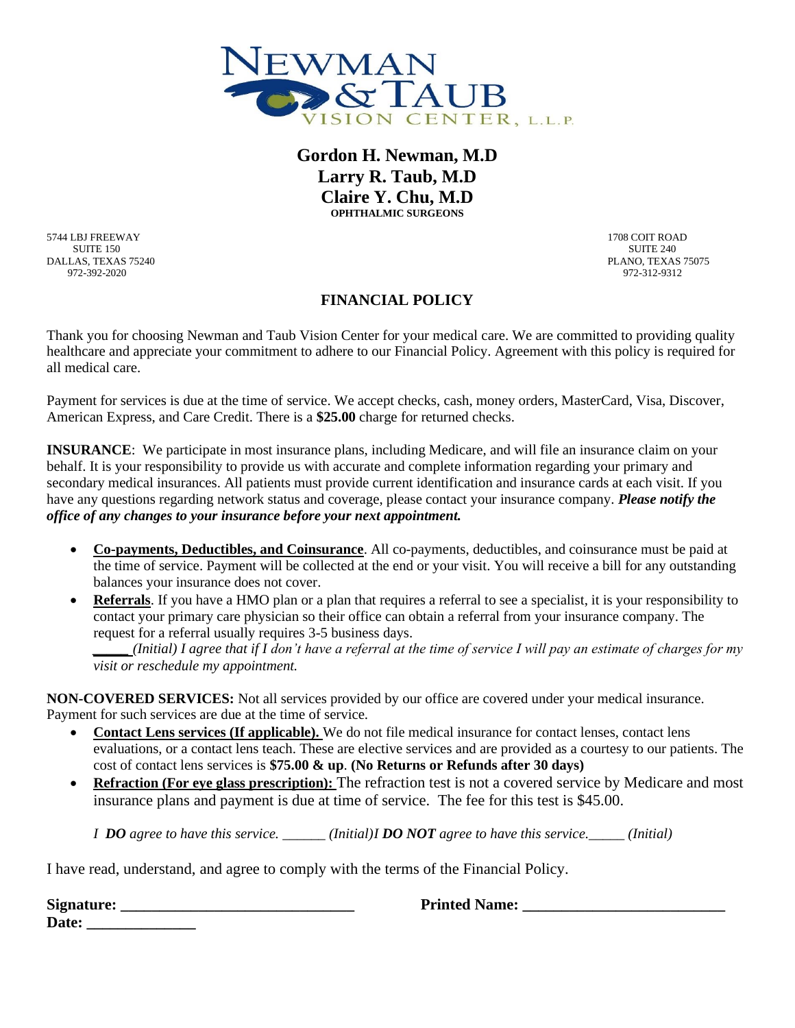

**Gordon H. Newman, M.D Larry R. Taub, M.D Claire Y. Chu, M.D OPHTHALMIC SURGEONS**

5744 LBJ FREEWAY 1708 COIT ROAD SUITE 150 SUITE 240 DALLAS, TEXAS 75240 PLANO, TEXAS 75075 972-392-2020 972-312-9312

#### **FINANCIAL POLICY**

Thank you for choosing Newman and Taub Vision Center for your medical care. We are committed to providing quality healthcare and appreciate your commitment to adhere to our Financial Policy. Agreement with this policy is required for all medical care.

Payment for services is due at the time of service. We accept checks, cash, money orders, MasterCard, Visa, Discover, American Express, and Care Credit. There is a **\$25.00** charge for returned checks.

**INSURANCE**: We participate in most insurance plans, including Medicare, and will file an insurance claim on your behalf. It is your responsibility to provide us with accurate and complete information regarding your primary and secondary medical insurances. All patients must provide current identification and insurance cards at each visit. If you have any questions regarding network status and coverage, please contact your insurance company. *Please notify the office of any changes to your insurance before your next appointment.*

- **Co-payments, Deductibles, and Coinsurance**. All co-payments, deductibles, and coinsurance must be paid at the time of service. Payment will be collected at the end or your visit. You will receive a bill for any outstanding balances your insurance does not cover.
- **Referrals**. If you have a HMO plan or a plan that requires a referral to see a specialist, it is your responsibility to contact your primary care physician so their office can obtain a referral from your insurance company. The request for a referral usually requires 3-5 business days.

*\_\_\_\_\_ (Initial) I agree that if I don't have a referral at the time of service I will pay an estimate of charges for my visit or reschedule my appointment.*

**NON-COVERED SERVICES:** Not all services provided by our office are covered under your medical insurance. Payment for such services are due at the time of service.

- **Contact Lens services (If applicable).** We do not file medical insurance for contact lenses, contact lens evaluations, or a contact lens teach. These are elective services and are provided as a courtesy to our patients. The cost of contact lens services is **\$75.00 & up**. **(No Returns or Refunds after 30 days)**
- **Refraction (For eye glass prescription):** The refraction test is not a covered service by Medicare and most insurance plans and payment is due at time of service. The fee for this test is \$45.00.

*I DO agree to have this service. \_\_\_\_\_\_ (Initial)I DO NOT agree to have this service.\_\_\_\_\_ (Initial)*

I have read, understand, and agree to comply with the terms of the Financial Policy.

| <b>Signature:</b> |  |
|-------------------|--|
| Date:             |  |

**Signature: \_\_\_\_\_\_\_\_\_\_\_\_\_\_\_\_\_\_\_\_\_\_\_\_\_\_\_\_\_\_ Printed Name: \_\_\_\_\_\_\_\_\_\_\_\_\_\_\_\_\_\_\_\_\_\_\_\_\_\_**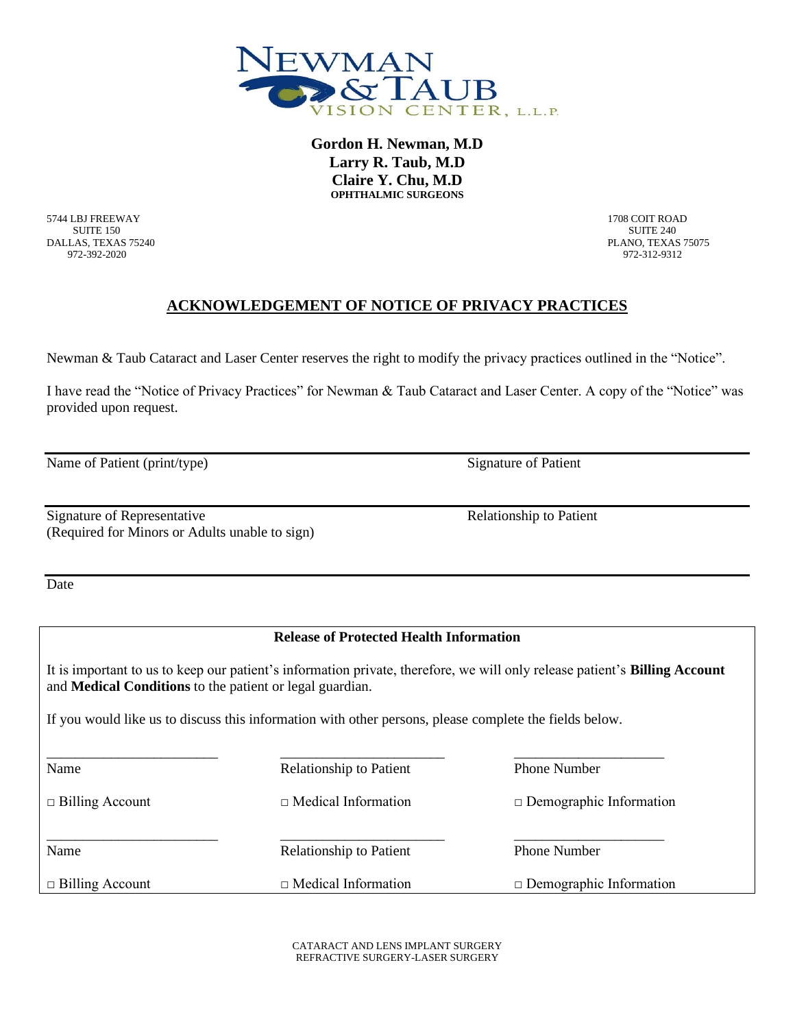

**Gordon H. Newman, M.D Larry R. Taub, M.D Claire Y. Chu, M.D OPHTHALMIC SURGEONS**

5744 LBJ FREEWAY 1708 COIT ROAD SUITE 150 SUITE 240 DALLAS, TEXAS 75240 PLANO, TEXAS 75075 972-392-2020 972-312-9312

### **ACKNOWLEDGEMENT OF NOTICE OF PRIVACY PRACTICES**

Newman & Taub Cataract and Laser Center reserves the right to modify the privacy practices outlined in the "Notice".

I have read the "Notice of Privacy Practices" for Newman & Taub Cataract and Laser Center. A copy of the "Notice" was provided upon request.

Name of Patient (print/type) Signature of Patient

Signature of Representative **Relationship to Patient** Relationship to Patient (Required for Minors or Adults unable to sign)

Date

#### **Release of Protected Health Information**

It is important to us to keep our patient's information private, therefore, we will only release patient's **Billing Account** and **Medical Conditions** to the patient or legal guardian.

If you would like us to discuss this information with other persons, please complete the fields below.

\_\_\_\_\_\_\_\_\_\_\_\_\_\_\_\_\_\_\_\_\_\_\_\_ \_\_\_\_\_\_\_\_\_\_\_\_\_\_\_\_\_\_\_\_\_\_\_ \_\_\_\_\_\_\_\_\_\_\_\_\_\_\_\_\_\_\_\_\_ Name Relationship to Patient Phone Number

\_\_\_\_\_\_\_\_\_\_\_\_\_\_\_\_\_\_\_\_\_\_\_\_ \_\_\_\_\_\_\_\_\_\_\_\_\_\_\_\_\_\_\_\_\_\_\_ \_\_\_\_\_\_\_\_\_\_\_\_\_\_\_\_\_\_\_\_\_

□ Billing Account □ Medical Information □ Demographic Information

Name Relationship to Patient Phone Number

□ Billing Account □ Medical Information □ Demographic Information

CATARACT AND LENS IMPLANT SURGERY REFRACTIVE SURGERY-LASER SURGERY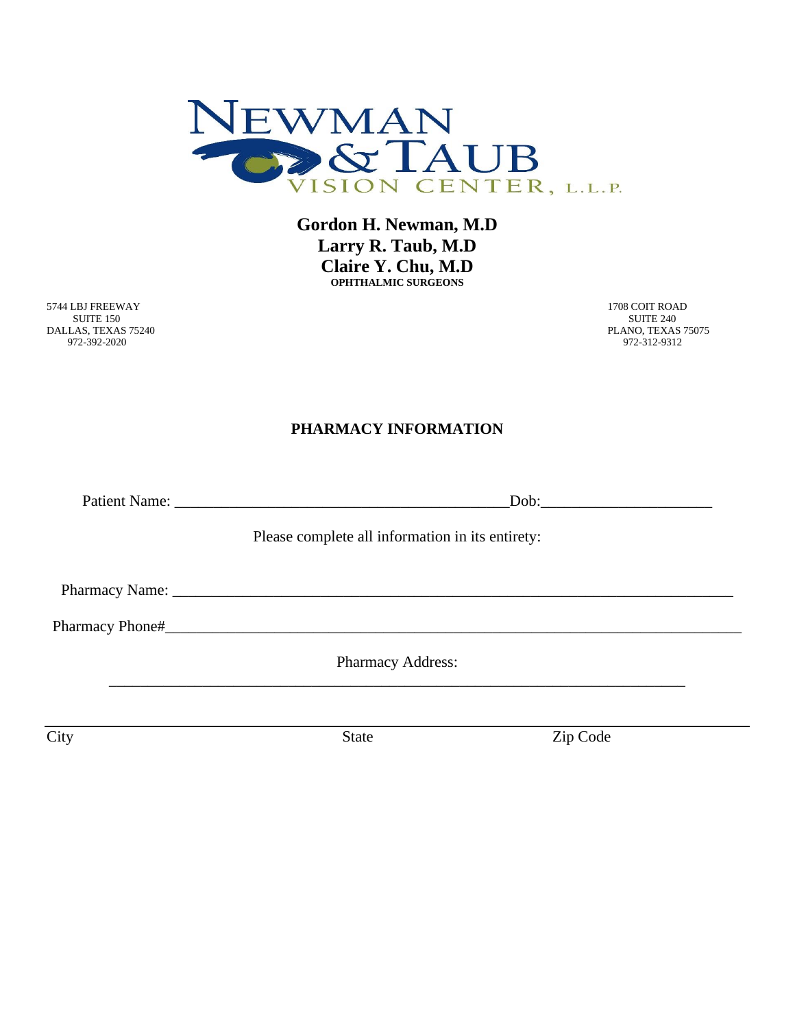

**Gordon H. Newman, M.D Larry R. Taub, M.D Claire Y. Chu, M.D OPHTHALMIC SURGEONS**

5744 LBJ FREEWAY 1708 COIT ROAD SUITE 150 SUITE 240 DALLAS, TEXAS 75240 PLANO, TEXAS 75075 972-392-2020 972-312-9312

#### **PHARMACY INFORMATION**

|      | Please complete all information in its entirety: |          |  |
|------|--------------------------------------------------|----------|--|
|      |                                                  |          |  |
|      |                                                  |          |  |
|      | <b>Pharmacy Address:</b>                         |          |  |
|      |                                                  |          |  |
| City | <b>State</b>                                     | Zip Code |  |